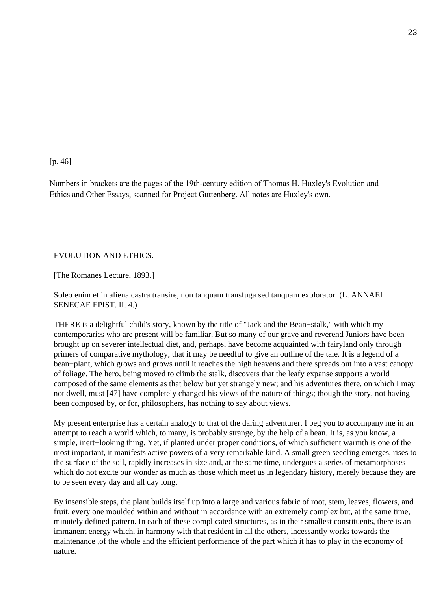### [p. 46]

Numbers in brackets are the pages of the 19th-century edition of Thomas H. Huxley's Evolution and Ethics and Other Essays, scanned for Project Guttenberg. All notes are Huxley's own.

## EVOLUTION AND ETHICS.

[The Romanes Lecture, 1893.]

Soleo enim et in aliena castra transire, non tanquam transfuga sed tanquam explorator. (L. ANNAEI SENECAE EPIST. II. 4.)

THERE is a delightful child's story, known by the title of "Jack and the Bean−stalk," with which my contemporaries who are present will be familiar. But so many of our grave and reverend Juniors have been brought up on severer intellectual diet, and, perhaps, have become acquainted with fairyland only through primers of comparative mythology, that it may be needful to give an outline of the tale. It is a legend of a bean−plant, which grows and grows until it reaches the high heavens and there spreads out into a vast canopy of foliage. The hero, being moved to climb the stalk, discovers that the leafy expanse supports a world composed of the same elements as that below but yet strangely new; and his adventures there, on which I may not dwell, must [47] have completely changed his views of the nature of things; though the story, not having been composed by, or for, philosophers, has nothing to say about views.

My present enterprise has a certain analogy to that of the daring adventurer. I beg you to accompany me in an attempt to reach a world which, to many, is probably strange, by the help of a bean. It is, as you know, a simple, inert−looking thing. Yet, if planted under proper conditions, of which sufficient warmth is one of the most important, it manifests active powers of a very remarkable kind. A small green seedling emerges, rises to the surface of the soil, rapidly increases in size and, at the same time, undergoes a series of metamorphoses which do not excite our wonder as much as those which meet us in legendary history, merely because they are to be seen every day and all day long.

By insensible steps, the plant builds itself up into a large and various fabric of root, stem, leaves, flowers, and fruit, every one moulded within and without in accordance with an extremely complex but, at the same time, minutely defined pattern. In each of these complicated structures, as in their smallest constituents, there is an immanent energy which, in harmony with that resident in all the others, incessantly works towards the maintenance ,of the whole and the efficient performance of the part which it has to play in the economy of nature.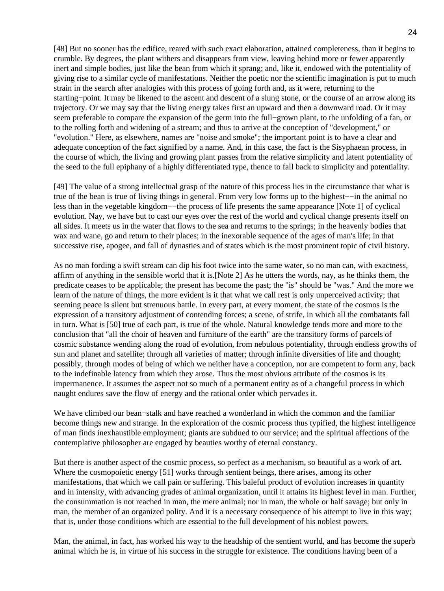[48] But no sooner has the edifice, reared with such exact elaboration, attained completeness, than it begins to crumble. By degrees, the plant withers and disappears from view, leaving behind more or fewer apparently inert and simple bodies, just like the bean from which it sprang; and, like it, endowed with the potentiality of giving rise to a similar cycle of manifestations. Neither the poetic nor the scientific imagination is put to much strain in the search after analogies with this process of going forth and, as it were, returning to the starting−point. It may be likened to the ascent and descent of a slung stone, or the course of an arrow along its trajectory. Or we may say that the living energy takes first an upward and then a downward road. Or it may seem preferable to compare the expansion of the germ into the full−grown plant, to the unfolding of a fan, or to the rolling forth and widening of a stream; and thus to arrive at the conception of "development," or "evolution." Here, as elsewhere, names are "noise and smoke"; the important point is to have a clear and adequate conception of the fact signified by a name. And, in this case, the fact is the Sisyphaean process, in the course of which, the living and growing plant passes from the relative simplicity and latent potentiality of the seed to the full epiphany of a highly differentiated type, thence to fall back to simplicity and potentiality.

[49] The value of a strong intellectual grasp of the nature of this process lies in the circumstance that what is true of the bean is true of living things in general. From very low forms up to the highest−−in the animal no less than in the vegetable kingdom−−the process of life presents the same appearance [Note 1] of cyclical evolution. Nay, we have but to cast our eyes over the rest of the world and cyclical change presents itself on all sides. It meets us in the water that flows to the sea and returns to the springs; in the heavenly bodies that wax and wane, go and return to their places; in the inexorable sequence of the ages of man's life; in that successive rise, apogee, and fall of dynasties and of states which is the most prominent topic of civil history.

As no man fording a swift stream can dip his foot twice into the same water, so no man can, with exactness, affirm of anything in the sensible world that it is.[Note 2] As he utters the words, nay, as he thinks them, the predicate ceases to be applicable; the present has become the past; the "is" should be "was." And the more we learn of the nature of things, the more evident is it that what we call rest is only unperceived activity; that seeming peace is silent but strenuous battle. In every part, at every moment, the state of the cosmos is the expression of a transitory adjustment of contending forces; a scene, of strife, in which all the combatants fall in turn. What is [50] true of each part, is true of the whole. Natural knowledge tends more and more to the conclusion that "all the choir of heaven and furniture of the earth" are the transitory forms of parcels of cosmic substance wending along the road of evolution, from nebulous potentiality, through endless growths of sun and planet and satellite; through all varieties of matter; through infinite diversities of life and thought; possibly, through modes of being of which we neither have a conception, nor are competent to form any, back to the indefinable latency from which they arose. Thus the most obvious attribute of the cosmos is its impermanence. It assumes the aspect not so much of a permanent entity as of a changeful process in which naught endures save the flow of energy and the rational order which pervades it.

We have climbed our bean−stalk and have reached a wonderland in which the common and the familiar become things new and strange. In the exploration of the cosmic process thus typified, the highest intelligence of man finds inexhaustible employment; giants are subdued to our service; and the spiritual affections of the contemplative philosopher are engaged by beauties worthy of eternal constancy.

But there is another aspect of the cosmic process, so perfect as a mechanism, so beautiful as a work of art. Where the cosmopoietic energy [51] works through sentient beings, there arises, among its other manifestations, that which we call pain or suffering. This baleful product of evolution increases in quantity and in intensity, with advancing grades of animal organization, until it attains its highest level in man. Further, the consummation is not reached in man, the mere animal; nor in man, the whole or half savage; but only in man, the member of an organized polity. And it is a necessary consequence of his attempt to live in this way; that is, under those conditions which are essential to the full development of his noblest powers.

Man, the animal, in fact, has worked his way to the headship of the sentient world, and has become the superb animal which he is, in virtue of his success in the struggle for existence. The conditions having been of a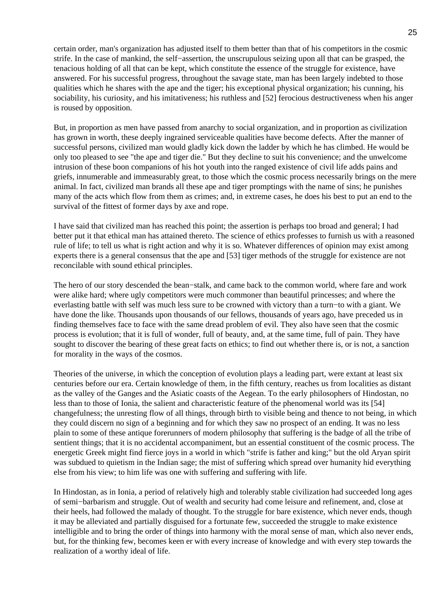certain order, man's organization has adjusted itself to them better than that of his competitors in the cosmic strife. In the case of mankind, the self−assertion, the unscrupulous seizing upon all that can be grasped, the tenacious holding of all that can be kept, which constitute the essence of the struggle for existence, have answered. For his successful progress, throughout the savage state, man has been largely indebted to those qualities which he shares with the ape and the tiger; his exceptional physical organization; his cunning, his sociability, his curiosity, and his imitativeness; his ruthless and [52] ferocious destructiveness when his anger is roused by opposition.

But, in proportion as men have passed from anarchy to social organization, and in proportion as civilization has grown in worth, these deeply ingrained serviceable qualities have become defects. After the manner of successful persons, civilized man would gladly kick down the ladder by which he has climbed. He would be only too pleased to see "the ape and tiger die." But they decline to suit his convenience; and the unwelcome intrusion of these boon companions of his hot youth into the ranged existence of civil life adds pains and griefs, innumerable and immeasurably great, to those which the cosmic process necessarily brings on the mere animal. In fact, civilized man brands all these ape and tiger promptings with the name of sins; he punishes many of the acts which flow from them as crimes; and, in extreme cases, he does his best to put an end to the survival of the fittest of former days by axe and rope.

I have said that civilized man has reached this point; the assertion is perhaps too broad and general; I had better put it that ethical man has attained thereto. The science of ethics professes to furnish us with a reasoned rule of life; to tell us what is right action and why it is so. Whatever differences of opinion may exist among experts there is a general consensus that the ape and [53] tiger methods of the struggle for existence are not reconcilable with sound ethical principles.

The hero of our story descended the bean−stalk, and came back to the common world, where fare and work were alike hard; where ugly competitors were much commoner than beautiful princesses; and where the everlasting battle with self was much less sure to be crowned with victory than a turn−to with a giant. We have done the like. Thousands upon thousands of our fellows, thousands of years ago, have preceded us in finding themselves face to face with the same dread problem of evil. They also have seen that the cosmic process is evolution; that it is full of wonder, full of beauty, and, at the same time, full of pain. They have sought to discover the bearing of these great facts on ethics; to find out whether there is, or is not, a sanction for morality in the ways of the cosmos.

Theories of the universe, in which the conception of evolution plays a leading part, were extant at least six centuries before our era. Certain knowledge of them, in the fifth century, reaches us from localities as distant as the valley of the Ganges and the Asiatic coasts of the Aegean. To the early philosophers of Hindostan, no less than to those of Ionia, the salient and characteristic feature of the phenomenal world was its [54] changefulness; the unresting flow of all things, through birth to visible being and thence to not being, in which they could discern no sign of a beginning and for which they saw no prospect of an ending. It was no less plain to some of these antique forerunners of modern philosophy that suffering is the badge of all the tribe of sentient things; that it is no accidental accompaniment, but an essential constituent of the cosmic process. The energetic Greek might find fierce joys in a world in which "strife is father and king;" but the old Aryan spirit was subdued to quietism in the Indian sage; the mist of suffering which spread over humanity hid everything else from his view; to him life was one with suffering and suffering with life.

In Hindostan, as in Ionia, a period of relatively high and tolerably stable civilization had succeeded long ages of semi−barbarism and struggle. Out of wealth and security had come leisure and refinement, and, close at their heels, had followed the malady of thought. To the struggle for bare existence, which never ends, though it may be alleviated and partially disguised for a fortunate few, succeeded the struggle to make existence intelligible and to bring the order of things into harmony with the moral sense of man, which also never ends, but, for the thinking few, becomes keen er with every increase of knowledge and with every step towards the realization of a worthy ideal of life.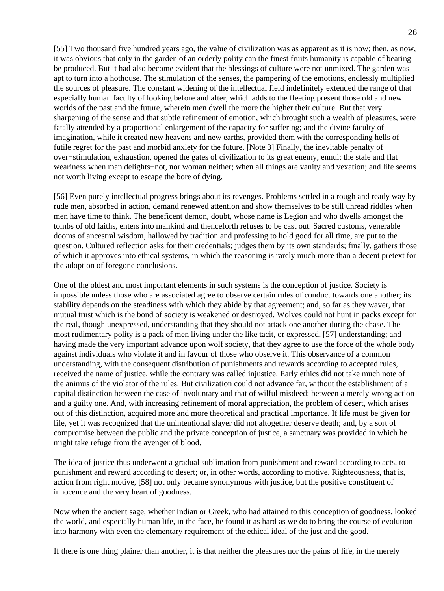[55] Two thousand five hundred years ago, the value of civilization was as apparent as it is now; then, as now, it was obvious that only in the garden of an orderly polity can the finest fruits humanity is capable of bearing be produced. But it had also become evident that the blessings of culture were not unmixed. The garden was apt to turn into a hothouse. The stimulation of the senses, the pampering of the emotions, endlessly multiplied the sources of pleasure. The constant widening of the intellectual field indefinitely extended the range of that especially human faculty of looking before and after, which adds to the fleeting present those old and new worlds of the past and the future, wherein men dwell the more the higher their culture. But that very sharpening of the sense and that subtle refinement of emotion, which brought such a wealth of pleasures, were fatally attended by a proportional enlargement of the capacity for suffering; and the divine faculty of imagination, while it created new heavens and new earths, provided them with the corresponding hells of futile regret for the past and morbid anxiety for the future. [Note 3] Finally, the inevitable penalty of over−stimulation, exhaustion, opened the gates of civilization to its great enemy, ennui; the stale and flat weariness when man delights−not, nor woman neither; when all things are vanity and vexation; and life seems not worth living except to escape the bore of dying.

[56] Even purely intellectual progress brings about its revenges. Problems settled in a rough and ready way by rude men, absorbed in action, demand renewed attention and show themselves to be still unread riddles when men have time to think. The beneficent demon, doubt, whose name is Legion and who dwells amongst the tombs of old faiths, enters into mankind and thenceforth refuses to be cast out. Sacred customs, venerable dooms of ancestral wisdom, hallowed by tradition and professing to hold good for all time, are put to the question. Cultured reflection asks for their credentials; judges them by its own standards; finally, gathers those of which it approves into ethical systems, in which the reasoning is rarely much more than a decent pretext for the adoption of foregone conclusions.

One of the oldest and most important elements in such systems is the conception of justice. Society is impossible unless those who are associated agree to observe certain rules of conduct towards one another; its stability depends on the steadiness with which they abide by that agreement; and, so far as they waver, that mutual trust which is the bond of society is weakened or destroyed. Wolves could not hunt in packs except for the real, though unexpressed, understanding that they should not attack one another during the chase. The most rudimentary polity is a pack of men living under the like tacit, or expressed, [57] understanding; and having made the very important advance upon wolf society, that they agree to use the force of the whole body against individuals who violate it and in favour of those who observe it. This observance of a common understanding, with the consequent distribution of punishments and rewards according to accepted rules, received the name of justice, while the contrary was called injustice. Early ethics did not take much note of the animus of the violator of the rules. But civilization could not advance far, without the establishment of a capital distinction between the case of involuntary and that of wilful misdeed; between a merely wrong action and a guilty one. And, with increasing refinement of moral appreciation, the problem of desert, which arises out of this distinction, acquired more and more theoretical and practical importance. If life must be given for life, yet it was recognized that the unintentional slayer did not altogether deserve death; and, by a sort of compromise between the public and the private conception of justice, a sanctuary was provided in which he might take refuge from the avenger of blood.

The idea of justice thus underwent a gradual sublimation from punishment and reward according to acts, to punishment and reward according to desert; or, in other words, according to motive. Righteousness, that is, action from right motive, [58] not only became synonymous with justice, but the positive constituent of innocence and the very heart of goodness.

Now when the ancient sage, whether Indian or Greek, who had attained to this conception of goodness, looked the world, and especially human life, in the face, he found it as hard as we do to bring the course of evolution into harmony with even the elementary requirement of the ethical ideal of the just and the good.

If there is one thing plainer than another, it is that neither the pleasures nor the pains of life, in the merely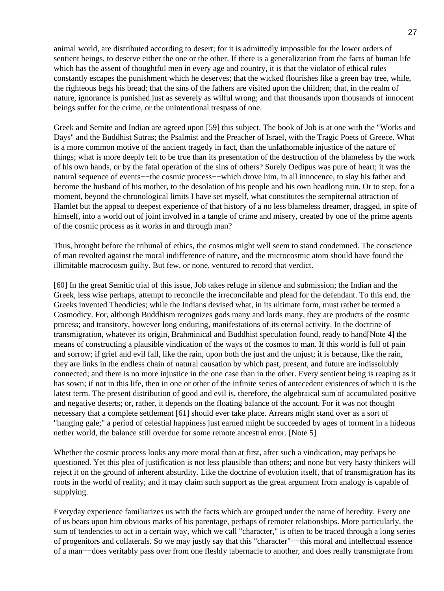animal world, are distributed according to desert; for it is admittedly impossible for the lower orders of sentient beings, to deserve either the one or the other. If there is a generalization from the facts of human life which has the assent of thoughtful men in every age and country, it is that the violator of ethical rules constantly escapes the punishment which he deserves; that the wicked flourishes like a green bay tree, while, the righteous begs his bread; that the sins of the fathers are visited upon the children; that, in the realm of nature, ignorance is punished just as severely as wilful wrong; and that thousands upon thousands of innocent beings suffer for the crime, or the unintentional trespass of one.

Greek and Semite and Indian are agreed upon [59] this subject. The book of Job is at one with the "Works and Days" and the Buddhist Sutras; the Psalmist and the Preacher of Israel, with the Tragic Poets of Greece. What is a more common motive of the ancient tragedy in fact, than the unfathomable injustice of the nature of things; what is more deeply felt to be true than its presentation of the destruction of the blameless by the work of his own hands, or by the fatal operation of the sins of others? Surely Oedipus was pure of heart; it was the natural sequence of events—−the cosmic process—–which drove him, in all innocence, to slay his father and become the husband of his mother, to the desolation of his people and his own headlong ruin. Or to step, for a moment, beyond the chronological limits I have set myself, what constitutes the sempiternal attraction of Hamlet but the appeal to deepest experience of that history of a no less blameless dreamer, dragged, in spite of himself, into a world out of joint involved in a tangle of crime and misery, created by one of the prime agents of the cosmic process as it works in and through man?

Thus, brought before the tribunal of ethics, the cosmos might well seem to stand condemned. The conscience of man revolted against the moral indifference of nature, and the microcosmic atom should have found the illimitable macrocosm guilty. But few, or none, ventured to record that verdict.

[60] In the great Semitic trial of this issue, Job takes refuge in silence and submission; the Indian and the Greek, less wise perhaps, attempt to reconcile the irreconcilable and plead for the defendant. To this end, the Greeks invented Theodicies; while the Indians devised what, in its ultimate form, must rather be termed a Cosmodicy. For, although Buddhism recognizes gods many and lords many, they are products of the cosmic process; and transitory, however long enduring, manifestations of its eternal activity. In the doctrine of transmigration, whatever its origin, Brahminical and Buddhist speculation found, ready to hand[Note 4] the means of constructing a plausible vindication of the ways of the cosmos to man. If this world is full of pain and sorrow; if grief and evil fall, like the rain, upon both the just and the unjust; it is because, like the rain, they are links in the endless chain of natural causation by which past, present, and future are indissolubly connected; and there is no more injustice in the one case than in the other. Every sentient being is reaping as it has sown; if not in this life, then in one or other of the infinite series of antecedent existences of which it is the latest term. The present distribution of good and evil is, therefore, the algebraical sum of accumulated positive and negative deserts; or, rather, it depends on the floating balance of the account. For it was not thought necessary that a complete settlement [61] should ever take place. Arrears might stand over as a sort of "hanging gale;" a period of celestial happiness just earned might be succeeded by ages of torment in a hideous nether world, the balance still overdue for some remote ancestral error. [Note 5]

Whether the cosmic process looks any more moral than at first, after such a vindication, may perhaps be questioned. Yet this plea of justification is not less plausible than others; and none but very hasty thinkers will reject it on the ground of inherent absurdity. Like the doctrine of evolution itself, that of transmigration has its roots in the world of reality; and it may claim such support as the great argument from analogy is capable of supplying.

Everyday experience familiarizes us with the facts which are grouped under the name of heredity. Every one of us bears upon him obvious marks of his parentage, perhaps of remoter relationships. More particularly, the sum of tendencies to act in a certain way, which we call "character," is often to be traced through a long series of progenitors and collaterals. So we may justly say that this "character"−−this moral and intellectual essence of a man−−does veritably pass over from one fleshly tabernacle to another, and does really transmigrate from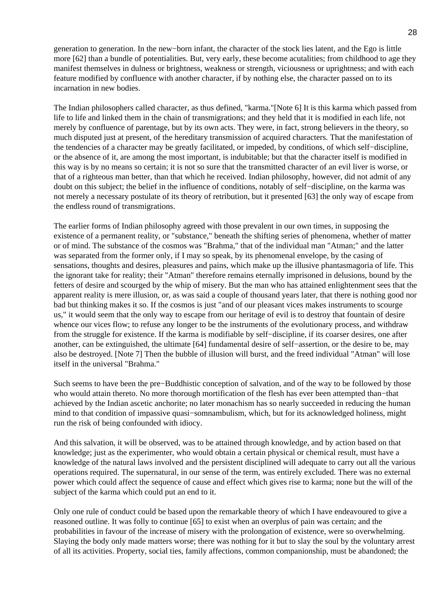generation to generation. In the new−born infant, the character of the stock lies latent, and the Ego is little more [62] than a bundle of potentialities. But, very early, these become acutalities; from childhood to age they manifest themselves in dulness or brightness, weakness or strength, viciousness or uprightness; and with each feature modified by confluence with another character, if by nothing else, the character passed on to its incarnation in new bodies.

The Indian philosophers called character, as thus defined, "karma."[Note 6] It is this karma which passed from life to life and linked them in the chain of transmigrations; and they held that it is modified in each life, not merely by confluence of parentage, but by its own acts. They were, in fact, strong believers in the theory, so much disputed just at present, of the hereditary transmission of acquired characters. That the manifestation of the tendencies of a character may be greatly facilitated, or impeded, by conditions, of which self−discipline, or the absence of it, are among the most important, is indubitable; but that the character itself is modified in this way is by no means so certain; it is not so sure that the transmitted character of an evil liver is worse, or that of a righteous man better, than that which he received. Indian philosophy, however, did not admit of any doubt on this subject; the belief in the influence of conditions, notably of self−discipline, on the karma was not merely a necessary postulate of its theory of retribution, but it presented [63] the only way of escape from the endless round of transmigrations.

The earlier forms of Indian philosophy agreed with those prevalent in our own times, in supposing the existence of a permanent reality, or "substance," beneath the shifting series of phenomena, whether of matter or of mind. The substance of the cosmos was "Brahma," that of the individual man "Atman;" and the latter was separated from the former only, if I may so speak, by its phenomenal envelope, by the casing of sensations, thoughts and desires, pleasures and pains, which make up the illusive phantasmagoria of life. This the ignorant take for reality; their "Atman" therefore remains eternally imprisoned in delusions, bound by the fetters of desire and scourged by the whip of misery. But the man who has attained enlightenment sees that the apparent reality is mere illusion, or, as was said a couple of thousand years later, that there is nothing good nor bad but thinking makes it so. If the cosmos is just "and of our pleasant vices makes instruments to scourge us," it would seem that the only way to escape from our heritage of evil is to destroy that fountain of desire whence our vices flow; to refuse any longer to be the instruments of the evolutionary process, and withdraw from the struggle for existence. If the karma is modifiable by self−discipline, if its coarser desires, one after another, can be extinguished, the ultimate [64] fundamental desire of self−assertion, or the desire to be, may also be destroyed. [Note 7] Then the bubble of illusion will burst, and the freed individual "Atman" will lose itself in the universal "Brahma."

Such seems to have been the pre−Buddhistic conception of salvation, and of the way to be followed by those who would attain thereto. No more thorough mortification of the flesh has ever been attempted than−that achieved by the Indian ascetic anchorite; no later monachism has so nearly succeeded in reducing the human mind to that condition of impassive quasi−somnambulism, which, but for its acknowledged holiness, might run the risk of being confounded with idiocy.

And this salvation, it will be observed, was to be attained through knowledge, and by action based on that knowledge; just as the experimenter, who would obtain a certain physical or chemical result, must have a knowledge of the natural laws involved and the persistent disciplined will adequate to carry out all the various operations required. The supernatural, in our sense of the term, was entirely excluded. There was no external power which could affect the sequence of cause and effect which gives rise to karma; none but the will of the subject of the karma which could put an end to it.

Only one rule of conduct could be based upon the remarkable theory of which I have endeavoured to give a reasoned outline. It was folly to continue [65] to exist when an overplus of pain was certain; and the probabilities in favour of the increase of misery with the prolongation of existence, were so overwhelming. Slaying the body only made matters worse; there was nothing for it but to slay the soul by the voluntary arrest of all its activities. Property, social ties, family affections, common companionship, must be abandoned; the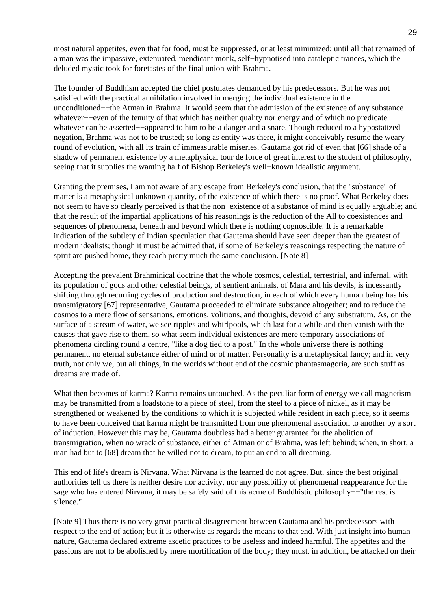most natural appetites, even that for food, must be suppressed, or at least minimized; until all that remained of a man was the impassive, extenuated, mendicant monk, self−hypnotised into cataleptic trances, which the deluded mystic took for foretastes of the final union with Brahma.

The founder of Buddhism accepted the chief postulates demanded by his predecessors. But he was not satisfied with the practical annihilation involved in merging the individual existence in the unconditioned−−the Atman in Brahma. It would seem that the admission of the existence of any substance whatever−−even of the tenuity of that which has neither quality nor energy and of which no predicate whatever can be asserted−−appeared to him to be a danger and a snare. Though reduced to a hypostatized negation, Brahma was not to be trusted; so long as entity was there, it might conceivably resume the weary round of evolution, with all its train of immeasurable miseries. Gautama got rid of even that [66] shade of a shadow of permanent existence by a metaphysical tour de force of great interest to the student of philosophy, seeing that it supplies the wanting half of Bishop Berkeley's well−known idealistic argument.

Granting the premises, I am not aware of any escape from Berkeley's conclusion, that the "substance" of matter is a metaphysical unknown quantity, of the existence of which there is no proof. What Berkeley does not seem to have so clearly perceived is that the non−existence of a substance of mind is equally arguable; and that the result of the impartial applications of his reasonings is the reduction of the All to coexistences and sequences of phenomena, beneath and beyond which there is nothing cognoscible. It is a remarkable indication of the subtlety of Indian speculation that Gautama should have seen deeper than the greatest of modern idealists; though it must be admitted that, if some of Berkeley's reasonings respecting the nature of spirit are pushed home, they reach pretty much the same conclusion. [Note 8]

Accepting the prevalent Brahminical doctrine that the whole cosmos, celestial, terrestrial, and infernal, with its population of gods and other celestial beings, of sentient animals, of Mara and his devils, is incessantly shifting through recurring cycles of production and destruction, in each of which every human being has his transmigratory [67] representative, Gautama proceeded to eliminate substance altogether; and to reduce the cosmos to a mere flow of sensations, emotions, volitions, and thoughts, devoid of any substratum. As, on the surface of a stream of water, we see ripples and whirlpools, which last for a while and then vanish with the causes that gave rise to them, so what seem individual existences are mere temporary associations of phenomena circling round a centre, "like a dog tied to a post." In the whole universe there is nothing permanent, no eternal substance either of mind or of matter. Personality is a metaphysical fancy; and in very truth, not only we, but all things, in the worlds without end of the cosmic phantasmagoria, are such stuff as dreams are made of.

What then becomes of karma? Karma remains untouched. As the peculiar form of energy we call magnetism may be transmitted from a loadstone to a piece of steel, from the steel to a piece of nickel, as it may be strengthened or weakened by the conditions to which it is subjected while resident in each piece, so it seems to have been conceived that karma might be transmitted from one phenomenal association to another by a sort of induction. However this may be, Gautama doubtless had a better guarantee for the abolition of transmigration, when no wrack of substance, either of Atman or of Brahma, was left behind; when, in short, a man had but to [68] dream that he willed not to dream, to put an end to all dreaming.

This end of life's dream is Nirvana. What Nirvana is the learned do not agree. But, since the best original authorities tell us there is neither desire nor activity, nor any possibility of phenomenal reappearance for the sage who has entered Nirvana, it may be safely said of this acme of Buddhistic philosophy–−"the rest is silence."

[Note 9] Thus there is no very great practical disagreement between Gautama and his predecessors with respect to the end of action; but it is otherwise as regards the means to that end. With just insight into human nature, Gautama declared extreme ascetic practices to be useless and indeed harmful. The appetites and the passions are not to be abolished by mere mortification of the body; they must, in addition, be attacked on their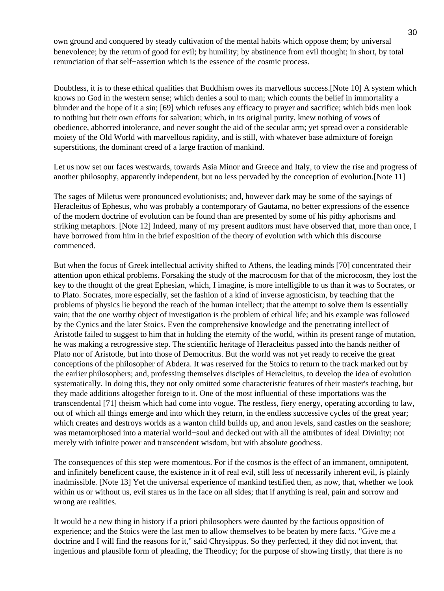own ground and conquered by steady cultivation of the mental habits which oppose them; by universal benevolence; by the return of good for evil; by humility; by abstinence from evil thought; in short, by total renunciation of that self−assertion which is the essence of the cosmic process.

Doubtless, it is to these ethical qualities that Buddhism owes its marvellous success.[Note 10] A system which knows no God in the western sense; which denies a soul to man; which counts the belief in immortality a blunder and the hope of it a sin; [69] which refuses any efficacy to prayer and sacrifice; which bids men look to nothing but their own efforts for salvation; which, in its original purity, knew nothing of vows of obedience, abhorred intolerance, and never sought the aid of the secular arm; yet spread over a considerable moiety of the Old World with marvellous rapidity, and is still, with whatever base admixture of foreign superstitions, the dominant creed of a large fraction of mankind.

Let us now set our faces westwards, towards Asia Minor and Greece and Italy, to view the rise and progress of another philosophy, apparently independent, but no less pervaded by the conception of evolution.[Note 11]

The sages of Miletus were pronounced evolutionists; and, however dark may be some of the sayings of Heracleitus of Ephesus, who was probably a contemporary of Gautama, no better expressions of the essence of the modern doctrine of evolution can be found than are presented by some of his pithy aphorisms and striking metaphors. [Note 12] Indeed, many of my present auditors must have observed that, more than once, I have borrowed from him in the brief exposition of the theory of evolution with which this discourse commenced.

But when the focus of Greek intellectual activity shifted to Athens, the leading minds [70] concentrated their attention upon ethical problems. Forsaking the study of the macrocosm for that of the microcosm, they lost the key to the thought of the great Ephesian, which, I imagine, is more intelligible to us than it was to Socrates, or to Plato. Socrates, more especially, set the fashion of a kind of inverse agnosticism, by teaching that the problems of physics lie beyond the reach of the human intellect; that the attempt to solve them is essentially vain; that the one worthy object of investigation is the problem of ethical life; and his example was followed by the Cynics and the later Stoics. Even the comprehensive knowledge and the penetrating intellect of Aristotle failed to suggest to him that in holding the eternity of the world, within its present range of mutation, he was making a retrogressive step. The scientific heritage of Heracleitus passed into the hands neither of Plato nor of Aristotle, but into those of Democritus. But the world was not yet ready to receive the great conceptions of the philosopher of Abdera. It was reserved for the Stoics to return to the track marked out by the earlier philosophers; and, professing themselves disciples of Heracleitus, to develop the idea of evolution systematically. In doing this, they not only omitted some characteristic features of their master's teaching, but they made additions altogether foreign to it. One of the most influential of these importations was the transcendental [71] theism which had come into vogue. The restless, fiery energy, operating according to law, out of which all things emerge and into which they return, in the endless successive cycles of the great year; which creates and destroys worlds as a wanton child builds up, and anon levels, sand castles on the seashore; was metamorphosed into a material world−soul and decked out with all the attributes of ideal Divinity; not merely with infinite power and transcendent wisdom, but with absolute goodness.

The consequences of this step were momentous. For if the cosmos is the effect of an immanent, omnipotent, and infinitely beneficent cause, the existence in it of real evil, still less of necessarily inherent evil, is plainly inadmissible. [Note 13] Yet the universal experience of mankind testified then, as now, that, whether we look within us or without us, evil stares us in the face on all sides; that if anything is real, pain and sorrow and wrong are realities.

It would be a new thing in history if a priori philosophers were daunted by the factious opposition of experience; and the Stoics were the last men to allow themselves to be beaten by mere facts. "Give me a doctrine and I will find the reasons for it," said Chrysippus. So they perfected, if they did not invent, that ingenious and plausible form of pleading, the Theodicy; for the purpose of showing firstly, that there is no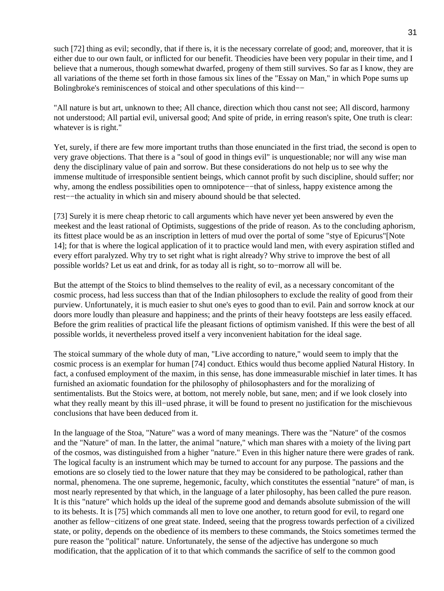such [72] thing as evil; secondly, that if there is, it is the necessary correlate of good; and, moreover, that it is either due to our own fault, or inflicted for our benefit. Theodicies have been very popular in their time, and I believe that a numerous, though somewhat dwarfed, progeny of them still survives. So far as I know, they are all variations of the theme set forth in those famous six lines of the "Essay on Man," in which Pope sums up Bolingbroke's reminiscences of stoical and other speculations of this kind−−

"All nature is but art, unknown to thee; All chance, direction which thou canst not see; All discord, harmony not understood; All partial evil, universal good; And spite of pride, in erring reason's spite, One truth is clear: whatever is is right."

Yet, surely, if there are few more important truths than those enunciated in the first triad, the second is open to very grave objections. That there is a "soul of good in things evil" is unquestionable; nor will any wise man deny the disciplinary value of pain and sorrow. But these considerations do not help us to see why the immense multitude of irresponsible sentient beings, which cannot profit by such discipline, should suffer; nor why, among the endless possibilities open to omnipotence−−that of sinless, happy existence among the rest−−the actuality in which sin and misery abound should be that selected.

[73] Surely it is mere cheap rhetoric to call arguments which have never yet been answered by even the meekest and the least rational of Optimists, suggestions of the pride of reason. As to the concluding aphorism, its fittest place would be as an inscription in letters of mud over the portal of some "stye of Epicurus"[Note 14]; for that is where the logical application of it to practice would land men, with every aspiration stifled and every effort paralyzed. Why try to set right what is right already? Why strive to improve the best of all possible worlds? Let us eat and drink, for as today all is right, so to−morrow all will be.

But the attempt of the Stoics to blind themselves to the reality of evil, as a necessary concomitant of the cosmic process, had less success than that of the Indian philosophers to exclude the reality of good from their purview. Unfortunately, it is much easier to shut one's eyes to good than to evil. Pain and sorrow knock at our doors more loudly than pleasure and happiness; and the prints of their heavy footsteps are less easily effaced. Before the grim realities of practical life the pleasant fictions of optimism vanished. If this were the best of all possible worlds, it nevertheless proved itself a very inconvenient habitation for the ideal sage.

The stoical summary of the whole duty of man, "Live according to nature," would seem to imply that the cosmic process is an exemplar for human [74] conduct. Ethics would thus become applied Natural History. In fact, a confused employment of the maxim, in this sense, has done immeasurable mischief in later times. It has furnished an axiomatic foundation for the philosophy of philosophasters and for the moralizing of sentimentalists. But the Stoics were, at bottom, not merely noble, but sane, men; and if we look closely into what they really meant by this ill−used phrase, it will be found to present no justification for the mischievous conclusions that have been deduced from it.

In the language of the Stoa, "Nature" was a word of many meanings. There was the "Nature" of the cosmos and the "Nature" of man. In the latter, the animal "nature," which man shares with a moiety of the living part of the cosmos, was distinguished from a higher "nature." Even in this higher nature there were grades of rank. The logical faculty is an instrument which may be turned to account for any purpose. The passions and the emotions are so closely tied to the lower nature that they may be considered to be pathological, rather than normal, phenomena. The one supreme, hegemonic, faculty, which constitutes the essential "nature" of man, is most nearly represented by that which, in the language of a later philosophy, has been called the pure reason. It is this "nature" which holds up the ideal of the supreme good and demands absolute submission of the will to its behests. It is [75] which commands all men to love one another, to return good for evil, to regard one another as fellow−citizens of one great state. Indeed, seeing that the progress towards perfection of a civilized state, or polity, depends on the obedience of its members to these commands, the Stoics sometimes termed the pure reason the "political" nature. Unfortunately, the sense of the adjective has undergone so much modification, that the application of it to that which commands the sacrifice of self to the common good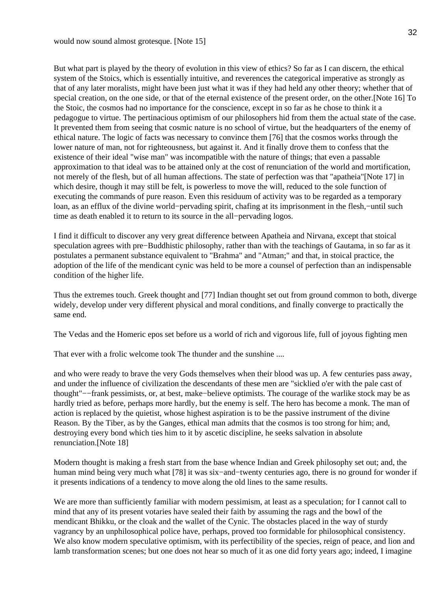But what part is played by the theory of evolution in this view of ethics? So far as I can discern, the ethical system of the Stoics, which is essentially intuitive, and reverences the categorical imperative as strongly as that of any later moralists, might have been just what it was if they had held any other theory; whether that of special creation, on the one side, or that of the eternal existence of the present order, on the other.[Note 16] To the Stoic, the cosmos had no importance for the conscience, except in so far as he chose to think it a pedagogue to virtue. The pertinacious optimism of our philosophers hid from them the actual state of the case. It prevented them from seeing that cosmic nature is no school of virtue, but the headquarters of the enemy of ethical nature. The logic of facts was necessary to convince them [76] that the cosmos works through the lower nature of man, not for righteousness, but against it. And it finally drove them to confess that the existence of their ideal "wise man" was incompatible with the nature of things; that even a passable approximation to that ideal was to be attained only at the cost of renunciation of the world and mortification, not merely of the flesh, but of all human affections. The state of perfection was that "apatheia"[Note 17] in which desire, though it may still be felt, is powerless to move the will, reduced to the sole function of executing the commands of pure reason. Even this residuum of activity was to be regarded as a temporary loan, as an efflux of the divine world−pervading spirit, chafing at its imprisonment in the flesh,−until such time as death enabled it to return to its source in the all−pervading logos.

I find it difficult to discover any very great difference between Apatheia and Nirvana, except that stoical speculation agrees with pre–Buddhistic philosophy, rather than with the teachings of Gautama, in so far as it postulates a permanent substance equivalent to "Brahma" and "Atman;" and that, in stoical practice, the adoption of the life of the mendicant cynic was held to be more a counsel of perfection than an indispensable condition of the higher life.

Thus the extremes touch. Greek thought and [77] Indian thought set out from ground common to both, diverge widely, develop under very different physical and moral conditions, and finally converge to practically the same end.

The Vedas and the Homeric epos set before us a world of rich and vigorous life, full of joyous fighting men

That ever with a frolic welcome took The thunder and the sunshine ....

and who were ready to brave the very Gods themselves when their blood was up. A few centuries pass away, and under the influence of civilization the descendants of these men are "sicklied o'er with the pale cast of thought"−−frank pessimists, or, at best, make−believe optimists. The courage of the warlike stock may be as hardly tried as before, perhaps more hardly, but the enemy is self. The hero has become a monk. The man of action is replaced by the quietist, whose highest aspiration is to be the passive instrument of the divine Reason. By the Tiber, as by the Ganges, ethical man admits that the cosmos is too strong for him; and, destroying every bond which ties him to it by ascetic discipline, he seeks salvation in absolute renunciation.[Note 18]

Modern thought is making a fresh start from the base whence Indian and Greek philosophy set out; and, the human mind being very much what [78] it was six−and−twenty centuries ago, there is no ground for wonder if it presents indications of a tendency to move along the old lines to the same results.

We are more than sufficiently familiar with modern pessimism, at least as a speculation; for I cannot call to mind that any of its present votaries have sealed their faith by assuming the rags and the bowl of the mendicant Bhikku, or the cloak and the wallet of the Cynic. The obstacles placed in the way of sturdy vagrancy by an unphilosophical police have, perhaps, proved too formidable for philosophical consistency. We also know modern speculative optimism, with its perfectibility of the species, reign of peace, and lion and lamb transformation scenes; but one does not hear so much of it as one did forty years ago; indeed, I imagine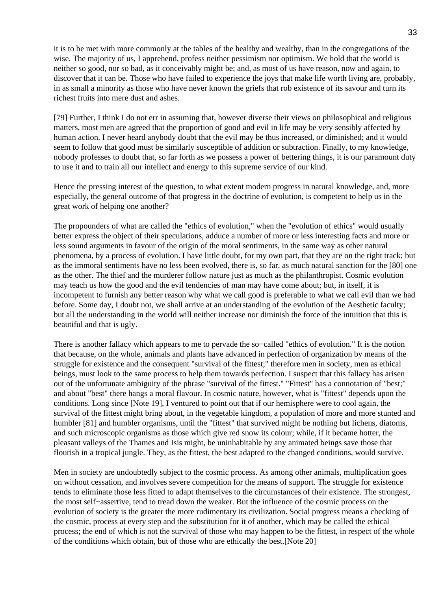it is to be met with more commonly at the tables of the healthy and wealthy, than in the congregations of the wise. The majority of us, I apprehend, profess neither pessimism nor optimism. We hold that the world is neither so good, nor so bad, as it conceivably might be; and, as most of us have reason, now and again, to discover that it can be. Those who have failed to experience the joys that make life worth living are, probably, in as small a minority as those who have never known the griefs that rob existence of its savour and turn its richest fruits into mere dust and ashes.

[79] Further, I think I do not err in assuming that, however diverse their views on philosophical and religious matters, most men are agreed that the proportion of good and evil in life may be very sensibly affected by human action. I never heard anybody doubt that the evil may be thus increased, or diminished; and it would seem to follow that good must be similarly susceptible of addition or subtraction. Finally, to my knowledge, nobody professes to doubt that, so far forth as we possess a power of bettering things, it is our paramount duty to use it and to train all our intellect and energy to this supreme service of our kind.

Hence the pressing interest of the question, to what extent modern progress in natural knowledge, and, more especially, the general outcome of that progress in the doctrine of evolution, is competent to help us in the great work of helping one another?

The propounders of what are called the "ethics of evolution," when the "evolution of ethics" would usually better express the object of their speculations, adduce a number of more or less interesting facts and more or less sound arguments in favour of the origin of the moral sentiments, in the same way as other natural phenomena, by a process of evolution. I have little doubt, for my own part, that they are on the right track; but as the immoral sentiments have no less been evolved, there is, so far, as much natural sanction for the [80] one as the other. The thief and the murderer follow nature just as much as the philanthropist. Cosmic evolution may teach us how the good and the evil tendencies of man may have come about; but, in itself, it is incompetent to furnish any better reason why what we call good is preferable to what we call evil than we had before. Some day, I doubt not, we shall arrive at an understanding of the evolution of the Aesthetic faculty; but all the understanding in the world will neither increase nor diminish the force of the intuition that this is beautiful and that is ugly.

There is another fallacy which appears to me to pervade the so−called "ethics of evolution." It is the notion that because, on the whole, animals and plants have advanced in perfection of organization by means of the struggle for existence and the consequent "survival of the fittest;" therefore men in society, men as ethical beings, must look to the same process to help them towards perfection. I suspect that this fallacy has arisen out of the unfortunate ambiguity of the phrase "survival of the fittest." "Fittest" has a connotation of "best;" and about "best" there hangs a moral flavour. In cosmic nature, however, what is "fittest" depends upon the conditions. Long since [Note 19], I ventured to point out that if our hemisphere were to cool again, the survival of the fittest might bring about, in the vegetable kingdom, a population of more and more stunted and humbler [81] and humbler organisms, until the "fittest" that survived might be nothing but lichens, diatoms, and such microscopic organisms as those which give red snow its colour; while, if it became hotter, the pleasant valleys of the Thames and Isis might, be uninhabitable by any animated beings save those that flourish in a tropical jungle. They, as the fittest, the best adapted to the changed conditions, would survive.

Men in society are undoubtedly subject to the cosmic process. As among other animals, multiplication goes on without cessation, and involves severe competition for the means of support. The struggle for existence tends to eliminate those less fitted to adapt themselves to the circumstances of their existence. The strongest, the most self−assertive, tend to tread down the weaker. But the influence of the cosmic process on the evolution of society is the greater the more rudimentary its civilization. Social progress means a checking of the cosmic, process at every step and the substitution for it of another, which may be called the ethical process; the end of which is not the survival of those who may happen to be the fittest, in respect of the whole of the conditions which obtain, but of those who are ethically the best.[Note 20]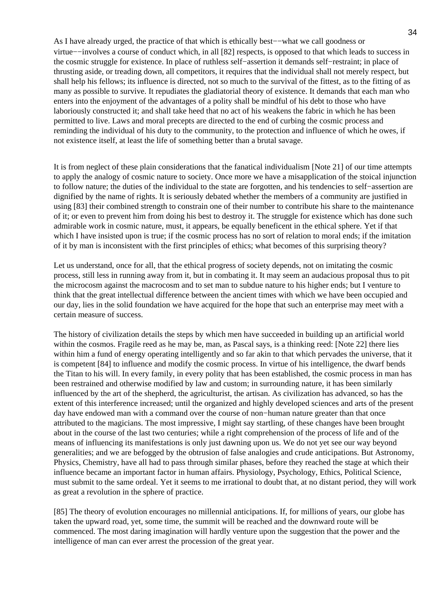As I have already urged, the practice of that which is ethically best−−what we call goodness or virtue−−involves a course of conduct which, in all [82] respects, is opposed to that which leads to success in the cosmic struggle for existence. In place of ruthless self−assertion it demands self−restraint; in place of thrusting aside, or treading down, all competitors, it requires that the individual shall not merely respect, but shall help his fellows; its influence is directed, not so much to the survival of the fittest, as to the fitting of as many as possible to survive. It repudiates the gladiatorial theory of existence. It demands that each man who enters into the enjoyment of the advantages of a polity shall be mindful of his debt to those who have laboriously constructed it; and shall take heed that no act of his weakens the fabric in which he has been permitted to live. Laws and moral precepts are directed to the end of curbing the cosmic process and reminding the individual of his duty to the community, to the protection and influence of which he owes, if not existence itself, at least the life of something better than a brutal savage.

It is from neglect of these plain considerations that the fanatical individualism [Note 21] of our time attempts to apply the analogy of cosmic nature to society. Once more we have a misapplication of the stoical injunction to follow nature; the duties of the individual to the state are forgotten, and his tendencies to self−assertion are dignified by the name of rights. It is seriously debated whether the members of a community are justified in using [83] their combined strength to constrain one of their number to contribute his share to the maintenance of it; or even to prevent him from doing his best to destroy it. The struggle for existence which has done such admirable work in cosmic nature, must, it appears, be equally beneficent in the ethical sphere. Yet if that which I have insisted upon is true; if the cosmic process has no sort of relation to moral ends; if the imitation of it by man is inconsistent with the first principles of ethics; what becomes of this surprising theory?

Let us understand, once for all, that the ethical progress of society depends, not on imitating the cosmic process, still less in running away from it, but in combating it. It may seem an audacious proposal thus to pit the microcosm against the macrocosm and to set man to subdue nature to his higher ends; but I venture to think that the great intellectual difference between the ancient times with which we have been occupied and our day, lies in the solid foundation we have acquired for the hope that such an enterprise may meet with a certain measure of success.

The history of civilization details the steps by which men have succeeded in building up an artificial world within the cosmos. Fragile reed as he may be, man, as Pascal says, is a thinking reed: [Note 22] there lies within him a fund of energy operating intelligently and so far akin to that which pervades the universe, that it is competent [84] to influence and modify the cosmic process. In virtue of his intelligence, the dwarf bends the Titan to his will. In every family, in every polity that has been established, the cosmic process in man has been restrained and otherwise modified by law and custom; in surrounding nature, it has been similarly influenced by the art of the shepherd, the agriculturist, the artisan. As civilization has advanced, so has the extent of this interference increased; until the organized and highly developed sciences and arts of the present day have endowed man with a command over the course of non−human nature greater than that once attributed to the magicians. The most impressive, I might say startling, of these changes have been brought about in the course of the last two centuries; while a right comprehension of the process of life and of the means of influencing its manifestations is only just dawning upon us. We do not yet see our way beyond generalities; and we are befogged by the obtrusion of false analogies and crude anticipations. But Astronomy, Physics, Chemistry, have all had to pass through similar phases, before they reached the stage at which their influence became an important factor in human affairs. Physiology, Psychology, Ethics, Political Science, must submit to the same ordeal. Yet it seems to me irrational to doubt that, at no distant period, they will work as great a revolution in the sphere of practice.

[85] The theory of evolution encourages no millennial anticipations. If, for millions of years, our globe has taken the upward road, yet, some time, the summit will be reached and the downward route will be commenced. The most daring imagination will hardly venture upon the suggestion that the power and the intelligence of man can ever arrest the procession of the great year.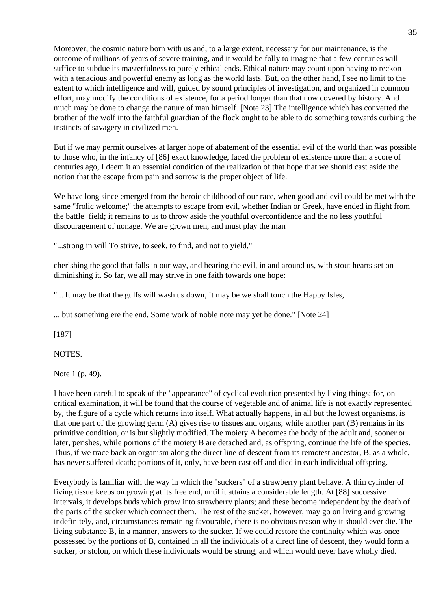Moreover, the cosmic nature born with us and, to a large extent, necessary for our maintenance, is the outcome of millions of years of severe training, and it would be folly to imagine that a few centuries will suffice to subdue its masterfulness to purely ethical ends. Ethical nature may count upon having to reckon with a tenacious and powerful enemy as long as the world lasts. But, on the other hand, I see no limit to the extent to which intelligence and will, guided by sound principles of investigation, and organized in common effort, may modify the conditions of existence, for a period longer than that now covered by history. And much may be done to change the nature of man himself. [Note 23] The intelligence which has converted the brother of the wolf into the faithful guardian of the flock ought to be able to do something towards curbing the instincts of savagery in civilized men.

But if we may permit ourselves at larger hope of abatement of the essential evil of the world than was possible to those who, in the infancy of [86] exact knowledge, faced the problem of existence more than a score of centuries ago, I deem it an essential condition of the realization of that hope that we should cast aside the notion that the escape from pain and sorrow is the proper object of life.

We have long since emerged from the heroic childhood of our race, when good and evil could be met with the same "frolic welcome;" the attempts to escape from evil, whether Indian or Greek, have ended in flight from the battle−field; it remains to us to throw aside the youthful overconfidence and the no less youthful discouragement of nonage. We are grown men, and must play the man

"...strong in will To strive, to seek, to find, and not to yield,"

cherishing the good that falls in our way, and bearing the evil, in and around us, with stout hearts set on diminishing it. So far, we all may strive in one faith towards one hope:

"... It may be that the gulfs will wash us down, It may be we shall touch the Happy Isles,

... but something ere the end, Some work of noble note may yet be done." [Note 24]

[187]

NOTES.

Note 1 (p. 49).

I have been careful to speak of the "appearance" of cyclical evolution presented by living things; for, on critical examination, it will be found that the course of vegetable and of animal life is not exactly represented by, the figure of a cycle which returns into itself. What actually happens, in all but the lowest organisms, is that one part of the growing germ (A) gives rise to tissues and organs; while another part (B) remains in its primitive condition, or is but slightly modified. The moiety A becomes the body of the adult and, sooner or later, perishes, while portions of the moiety B are detached and, as offspring, continue the life of the species. Thus, if we trace back an organism along the direct line of descent from its remotest ancestor, B, as a whole, has never suffered death; portions of it, only, have been cast off and died in each individual offspring.

Everybody is familiar with the way in which the "suckers" of a strawberry plant behave. A thin cylinder of living tissue keeps on growing at its free end, until it attains a considerable length. At [88] successive intervals, it develops buds which grow into strawberry plants; and these become independent by the death of the parts of the sucker which connect them. The rest of the sucker, however, may go on living and growing indefinitely, and, circumstances remaining favourable, there is no obvious reason why it should ever die. The living substance B, in a manner, answers to the sucker. If we could restore the continuity which was once possessed by the portions of B, contained in all the individuals of a direct line of descent, they would form a sucker, or stolon, on which these individuals would be strung, and which would never have wholly died.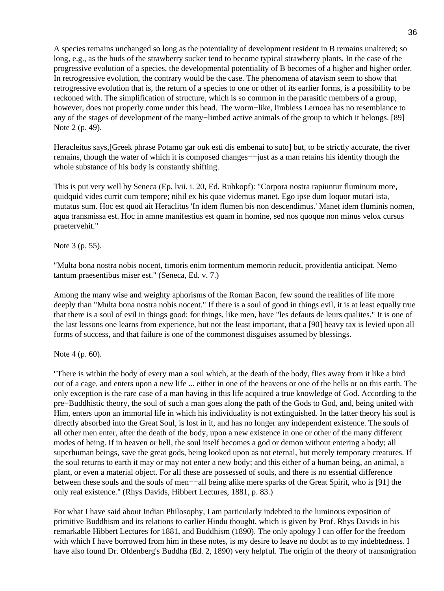A species remains unchanged so long as the potentiality of development resident in B remains unaltered; so long, e.g., as the buds of the strawberry sucker tend to become typical strawberry plants. In the case of the progressive evolution of a species, the developmental potentiality of B becomes of a higher and higher order. In retrogressive evolution, the contrary would be the case. The phenomena of atavism seem to show that retrogressive evolution that is, the return of a species to one or other of its earlier forms, is a possibility to be reckoned with. The simplification of structure, which is so common in the parasitic members of a group, however, does not properly come under this head. The worm−like, limbless Lernoea has no resemblance to any of the stages of development of the many−limbed active animals of the group to which it belongs. [89] Note 2 (p. 49).

Heracleitus says,[Greek phrase Potamo gar ouk esti dis embenai to suto] but, to be strictly accurate, the river remains, though the water of which it is composed changes−−just as a man retains his identity though the whole substance of his body is constantly shifting.

This is put very well by Seneca (Ep. lvii. i. 20, Ed. Ruhkopf): "Corpora nostra rapiuntur fluminum more, quidquid vides currit cum tempore; nihil ex his quae videmus manet. Ego ipse dum loquor mutari ista, mutatus sum. Hoc est quod ait Heraclitus 'In idem flumen bis non descendimus.' Manet idem fluminis nomen, aqua transmissa est. Hoc in amne manifestius est quam in homine, sed nos quoque non minus velox cursus praetervehit."

Note 3 (p. 55).

"Multa bona nostra nobis nocent, timoris enim tormentum memorin reducit, providentia anticipat. Nemo tantum praesentibus miser est." (Seneca, Ed. v. 7.)

Among the many wise and weighty aphorisms of the Roman Bacon, few sound the realities of life more deeply than "Multa bona nostra nobis nocent." If there is a soul of good in things evil, it is at least equally true that there is a soul of evil in things good: for things, like men, have "les defauts de leurs qualites." It is one of the last lessons one learns from experience, but not the least important, that a [90] heavy tax is levied upon all forms of success, and that failure is one of the commonest disguises assumed by blessings.

Note 4 (p. 60).

"There is within the body of every man a soul which, at the death of the body, flies away from it like a bird out of a cage, and enters upon a new life ... either in one of the heavens or one of the hells or on this earth. The only exception is the rare case of a man having in this life acquired a true knowledge of God. According to the pre−Buddhistic theory, the soul of such a man goes along the path of the Gods to God, and, being united with Him, enters upon an immortal life in which his individuality is not extinguished. In the latter theory his soul is directly absorbed into the Great Soul, is lost in it, and has no longer any independent existence. The souls of all other men enter, after the death of the body, upon a new existence in one or other of the many different modes of being. If in heaven or hell, the soul itself becomes a god or demon without entering a body; all superhuman beings, save the great gods, being looked upon as not eternal, but merely temporary creatures. If the soul returns to earth it may or may not enter a new body; and this either of a human being, an animal, a plant, or even a material object. For all these are possessed of souls, and there is no essential difference between these souls and the souls of men−−all being alike mere sparks of the Great Spirit, who is [91] the only real existence." (Rhys Davids, Hibbert Lectures, 1881, p. 83.)

For what I have said about Indian Philosophy, I am particularly indebted to the luminous exposition of primitive Buddhism and its relations to earlier Hindu thought, which is given by Prof. Rhys Davids in his remarkable Hibbert Lectures for 1881, and Buddhism (1890). The only apology I can offer for the freedom with which I have borrowed from him in these notes, is my desire to leave no doubt as to my indebtedness. I have also found Dr. Oldenberg's Buddha (Ed. 2, 1890) very helpful. The origin of the theory of transmigration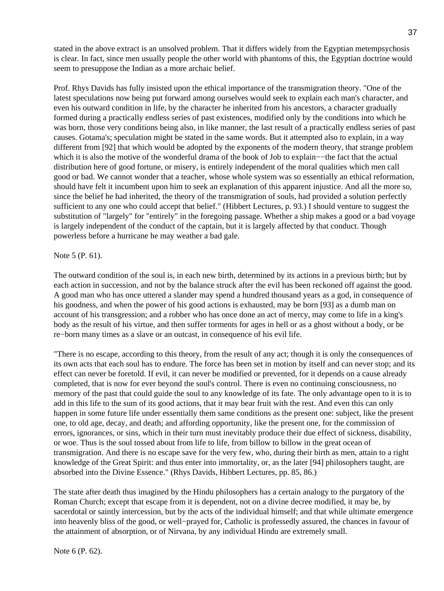stated in the above extract is an unsolved problem. That it differs widely from the Egyptian metempsychosis is clear. In fact, since men usually people the other world with phantoms of this, the Egyptian doctrine would seem to presuppose the Indian as a more archaic belief.

Prof. Rhys Davids has fully insisted upon the ethical importance of the transmigration theory. "One of the latest speculations now being put forward among ourselves would seek to explain each man's character, and even his outward condition in life, by the character he inherited from his ancestors, a character gradually formed during a practically endless series of past existences, modified only by the conditions into which he was born, those very conditions being also, in like manner, the last result of a practically endless series of past causes. Gotama's; speculation might be stated in the same words. But it attempted also to explain, in a way different from [92] that which would be adopted by the exponents of the modern theory, that strange problem which it is also the motive of the wonderful drama of the book of Job to explain−−the fact that the actual distribution here of good fortune, or misery, is entirely independent of the moral qualities which men call good or bad. We cannot wonder that a teacher, whose whole system was so essentially an ethical reformation, should have felt it incumbent upon him to seek an explanation of this apparent injustice. And all the more so, since the belief he had inherited, the theory of the transmigration of souls, had provided a solution perfectly sufficient to any one who could accept that belief." (Hibbert Lectures, p. 93.) I should venture to suggest the substitution of "largely" for "entirely" in the foregoing passage. Whether a ship makes a good or a bad voyage is largely independent of the conduct of the captain, but it is largely affected by that conduct. Though powerless before a hurricane he may weather a bad gale.

### Note 5 (P. 61).

The outward condition of the soul is, in each new birth, determined by its actions in a previous birth; but by each action in succession, and not by the balance struck after the evil has been reckoned off against the good. A good man who has once uttered a slander may spend a hundred thousand years as a god, in consequence of his goodness, and when the power of his good actions is exhausted, may be born [93] as a dumb man on account of his transgression; and a robber who has once done an act of mercy, may come to life in a king's body as the result of his virtue, and then suffer torments for ages in hell or as a ghost without a body, or be re−born many times as a slave or an outcast, in consequence of his evil life.

"There is no escape, according to this theory, from the result of any act; though it is only the consequences of its own acts that each soul has to endure. The force has been set in motion by itself and can never stop; and its effect can never be foretold. If evil, it can never be modified or prevented, for it depends on a cause already completed, that is now for ever beyond the soul's control. There is even no continuing consciousness, no memory of the past that could guide the soul to any knowledge of its fate. The only advantage open to it is to add in this life to the sum of its good actions, that it may bear fruit with the rest. And even this can only happen in some future life under essentially them same conditions as the present one: subject, like the present one, to old age, decay, and death; and affording opportunity, like the present one, for the commission of errors, ignorances, or sins, which in their turn must inevitably produce their due effect of sickness, disability, or woe. Thus is the soul tossed about from life to life, from billow to billow in the great ocean of transmigration. And there is no escape save for the very few, who, during their birth as men, attain to a right knowledge of the Great Spirit: and thus enter into immortality, or, as the later [94] philosophers taught, are absorbed into the Divine Essence." (Rhys Davids, Hibbert Lectures, pp. 85, 86.)

The state after death thus imagined by the Hindu philosophers has a certain analogy to the purgatory of the Roman Church; except that escape from it is dependent, not on a divine decree modified, it may be, by sacerdotal or saintly intercession, but by the acts of the individual himself; and that while ultimate emergence into heavenly bliss of the good, or well−prayed for, Catholic is professedly assured, the chances in favour of the attainment of absorption, or of Nirvana, by any individual Hindu are extremely small.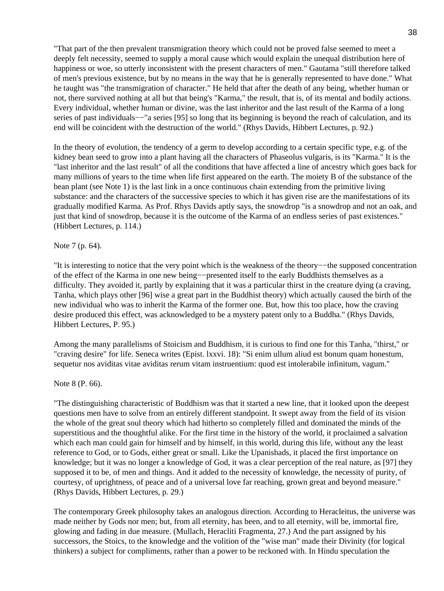"That part of the then prevalent transmigration theory which could not be proved false seemed to meet a deeply felt necessity, seemed to supply a moral cause which would explain the unequal distribution here of happiness or woe, so utterly inconsistent with the present characters of men." Gautama "still therefore talked of men's previous existence, but by no means in the way that he is generally represented to have done." What he taught was "the transmigration of character." He held that after the death of any being, whether human or not, there survived nothing at all but that being's "Karma," the result, that is, of its mental and bodily actions. Every individual, whether human or divine, was the last inheritor and the last result of the Karma of a long series of past individuals−−"a series [95] so long that its beginning is beyond the reach of calculation, and its end will be coincident with the destruction of the world." (Rhys Davids, Hibbert Lectures, p. 92.)

In the theory of evolution, the tendency of a germ to develop according to a certain specific type, e.g. of the kidney bean seed to grow into a plant having all the characters of Phaseolus vulgaris, is its "Karma." It is the "last inheritor and the last result" of all the conditions that have affected a line of ancestry which goes back for many millions of years to the time when life first appeared on the earth. The moiety B of the substance of the bean plant (see Note 1) is the last link in a once continuous chain extending from the primitive living substance: and the characters of the successive species to which it has given rise are the manifestations of its gradually modified Karma. As Prof. Rhys Davids aptly says, the snowdrop "is a snowdrop and not an oak, and just that kind of snowdrop, because it is the outcome of the Karma of an endless series of past existences." (Hibbert Lectures, p. 114.)

## Note 7 (p. 64).

"It is interesting to notice that the very point which is the weakness of the theory−−the supposed concentration of the effect of the Karma in one new being−−presented itself to the early Buddhists themselves as a difficulty. They avoided it, partly by explaining that it was a particular thirst in the creature dying (a craving, Tanha, which plays other [96] wise a great part in the Buddhist theory) which actually caused the birth of the new individual who was to inherit the Karma of the former one. But, how this too place, how the craving desire produced this effect, was acknowledged to be a mystery patent only to a Buddha." (Rhys Davids, Hibbert Lectures, P. 95.)

Among the many parallelisms of Stoicism and Buddhism, it is curious to find one for this Tanha, "thirst," or "craving desire" for life. Seneca writes (Epist. lxxvi. 18): "Si enim ullum aliud est bonum quam honestum, sequetur nos aviditas vitae aviditas rerum vitam instruentium: quod est intolerabile infinitum, vagum."

### Note 8 (P. 66).

"The distinguishing characteristic of Buddhism was that it started a new line, that it looked upon the deepest questions men have to solve from an entirely different standpoint. It swept away from the field of its vision the whole of the great soul theory which had hitherto so completely filled and dominated the minds of the superstitious and the thoughtful alike. For the first time in the history of the world, it proclaimed a salvation which each man could gain for himself and by himself, in this world, during this life, without any the least reference to God, or to Gods, either great or small. Like the Upanishads, it placed the first importance on knowledge; but it was no longer a knowledge of God, it was a clear perception of the real nature, as [97] they supposed it to be, of men and things. And it added to the necessity of knowledge, the necessity of purity, of courtesy, of uprightness, of peace and of a universal love far reaching, grown great and beyond measure." (Rhys Davids, Hibbert Lectures, p. 29.)

The contemporary Greek philosophy takes an analogous direction. According to Heracleitus, the universe was made neither by Gods nor men; but, from all eternity, has been, and to all eternity, will be, immortal fire, glowing and fading in due measure. (Mullach, Heracliti Fragmenta, 27.) And the part assigned by his successors, the Stoics, to the knowledge and the volition of the "wise man" made their Divinity (for logical thinkers) a subject for compliments, rather than a power to be reckoned with. In Hindu speculation the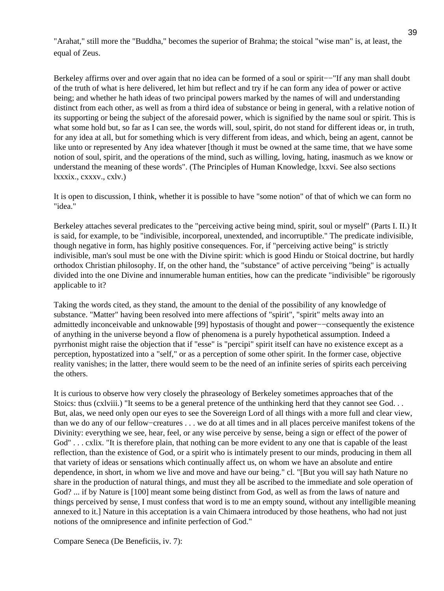"Arahat," still more the "Buddha," becomes the superior of Brahma; the stoical "wise man" is, at least, the equal of Zeus.

Berkeley affirms over and over again that no idea can be formed of a soul or spirit−−"If any man shall doubt of the truth of what is here delivered, let him but reflect and try if he can form any idea of power or active being; and whether he hath ideas of two principal powers marked by the names of will and understanding distinct from each other, as well as from a third idea of substance or being in general, with a relative notion of its supporting or being the subject of the aforesaid power, which is signified by the name soul or spirit. This is what some hold but, so far as I can see, the words will, soul, spirit, do not stand for different ideas or, in truth, for any idea at all, but for something which is very different from ideas, and which, being an agent, cannot be like unto or represented by Any idea whatever [though it must be owned at the same time, that we have some notion of soul, spirit, and the operations of the mind, such as willing, loving, hating, inasmuch as we know or understand the meaning of these words". (The Principles of Human Knowledge, lxxvi. See also sections lxxxix., cxxxv., cxlv.)

It is open to discussion, I think, whether it is possible to have "some notion" of that of which we can form no "idea."

Berkeley attaches several predicates to the "perceiving active being mind, spirit, soul or myself" (Parts I. II.) It is said, for example, to be "indivisible, incorporeal, unextended, and incorruptible." The predicate indivisible, though negative in form, has highly positive consequences. For, if "perceiving active being" is strictly indivisible, man's soul must be one with the Divine spirit: which is good Hindu or Stoical doctrine, but hardly orthodox Christian philosophy. If, on the other hand, the "substance" of active perceiving "being" is actually divided into the one Divine and innumerable human entities, how can the predicate "indivisible" be rigorously applicable to it?

Taking the words cited, as they stand, the amount to the denial of the possibility of any knowledge of substance. "Matter" having been resolved into mere affections of "spirit", "spirit" melts away into an admittedly inconceivable and unknowable [99] hypostasis of thought and power−−consequently the existence of anything in the universe beyond a flow of phenomena is a purely hypothetical assumption. Indeed a pyrrhonist might raise the objection that if "esse" is "percipi" spirit itself can have no existence except as a perception, hypostatized into a "self," or as a perception of some other spirit. In the former case, objective reality vanishes; in the latter, there would seem to be the need of an infinite series of spirits each perceiving the others.

It is curious to observe how very closely the phraseology of Berkeley sometimes approaches that of the Stoics: thus (cxlviii.) "It seems to be a general pretence of the unthinking herd that they cannot see God. . . But, alas, we need only open our eyes to see the Sovereign Lord of all things with a more full and clear view, than we do any of our fellow−creatures . . . we do at all times and in all places perceive manifest tokens of the Divinity: everything we see, hear, feel, or any wise perceive by sense, being a sign or effect of the power of God" . . . cxlix. "It is therefore plain, that nothing can be more evident to any one that is capable of the least reflection, than the existence of God, or a spirit who is intimately present to our minds, producing in them all that variety of ideas or sensations which continually affect us, on whom we have an absolute and entire dependence, in short, in whom we live and move and have our being." cl. "[But you will say hath Nature no share in the production of natural things, and must they all be ascribed to the immediate and sole operation of God? ... if by Nature is [100] meant some being distinct from God, as well as from the laws of nature and things perceived by sense, I must confess that word is to me an empty sound, without any intelligible meaning annexed to it.] Nature in this acceptation is a vain Chimaera introduced by those heathens, who had not just notions of the omnipresence and infinite perfection of God."

Compare Seneca (De Beneficiis, iv. 7):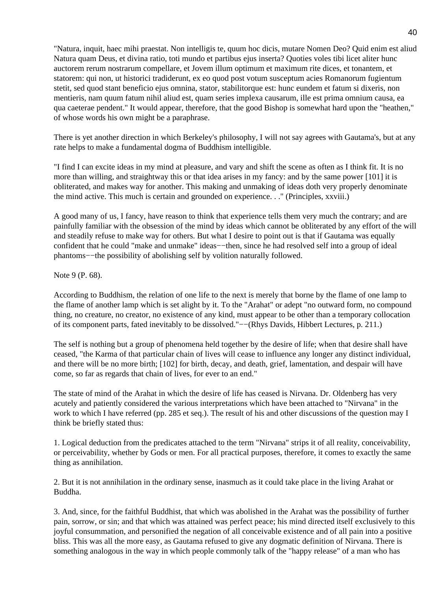"Natura, inquit, haec mihi praestat. Non intelligis te, quum hoc dicis, mutare Nomen Deo? Quid enim est aliud Natura quam Deus, et divina ratio, toti mundo et partibus ejus inserta? Quoties voles tibi licet aliter hunc auctorem rerum nostrarum compellare, et Jovem illum optimum et maximum rite dices, et tonantem, et statorem: qui non, ut historici tradiderunt, ex eo quod post votum susceptum acies Romanorum fugientum stetit, sed quod stant beneficio ejus omnina, stator, stabilitorque est: hunc eundem et fatum si dixeris, non mentieris, nam quum fatum nihil aliud est, quam series implexa causarum, ille est prima omnium causa, ea qua caeterae pendent." It would appear, therefore, that the good Bishop is somewhat hard upon the "heathen," of whose words his own might be a paraphrase.

There is yet another direction in which Berkeley's philosophy, I will not say agrees with Gautama's, but at any rate helps to make a fundamental dogma of Buddhism intelligible.

"I find I can excite ideas in my mind at pleasure, and vary and shift the scene as often as I think fit. It is no more than willing, and straightway this or that idea arises in my fancy: and by the same power [101] it is obliterated, and makes way for another. This making and unmaking of ideas doth very properly denominate the mind active. This much is certain and grounded on experience. . ." (Principles, xxviii.)

A good many of us, I fancy, have reason to think that experience tells them very much the contrary; and are painfully familiar with the obsession of the mind by ideas which cannot be obliterated by any effort of the will and steadily refuse to make way for others. But what I desire to point out is that if Gautama was equally confident that he could "make and unmake" ideas−−then, since he had resolved self into a group of ideal phantoms−−the possibility of abolishing self by volition naturally followed.

Note 9 (P. 68).

According to Buddhism, the relation of one life to the next is merely that borne by the flame of one lamp to the flame of another lamp which is set alight by it. To the "Arahat" or adept "no outward form, no compound thing, no creature, no creator, no existence of any kind, must appear to be other than a temporary collocation of its component parts, fated inevitably to be dissolved."−−(Rhys Davids, Hibbert Lectures, p. 211.)

The self is nothing but a group of phenomena held together by the desire of life; when that desire shall have ceased, "the Karma of that particular chain of lives will cease to influence any longer any distinct individual, and there will be no more birth; [102] for birth, decay, and death, grief, lamentation, and despair will have come, so far as regards that chain of lives, for ever to an end."

The state of mind of the Arahat in which the desire of life has ceased is Nirvana. Dr. Oldenberg has very acutely and patiently considered the various interpretations which have been attached to "Nirvana" in the work to which I have referred (pp. 285 et seq.). The result of his and other discussions of the question may I think be briefly stated thus:

1. Logical deduction from the predicates attached to the term "Nirvana" strips it of all reality, conceivability, or perceivability, whether by Gods or men. For all practical purposes, therefore, it comes to exactly the same thing as annihilation.

2. But it is not annihilation in the ordinary sense, inasmuch as it could take place in the living Arahat or Buddha.

3. And, since, for the faithful Buddhist, that which was abolished in the Arahat was the possibility of further pain, sorrow, or sin; and that which was attained was perfect peace; his mind directed itself exclusively to this joyful consummation, and personified the negation of all conceivable existence and of all pain into a positive bliss. This was all the more easy, as Gautama refused to give any dogmatic definition of Nirvana. There is something analogous in the way in which people commonly talk of the "happy release" of a man who has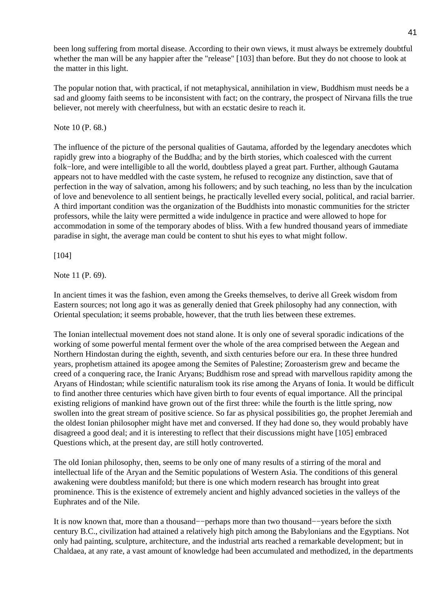been long suffering from mortal disease. According to their own views, it must always be extremely doubtful whether the man will be any happier after the "release" [103] than before. But they do not choose to look at the matter in this light.

The popular notion that, with practical, if not metaphysical, annihilation in view, Buddhism must needs be a sad and gloomy faith seems to be inconsistent with fact; on the contrary, the prospect of Nirvana fills the true believer, not merely with cheerfulness, but with an ecstatic desire to reach it.

Note 10 (P. 68.)

The influence of the picture of the personal qualities of Gautama, afforded by the legendary anecdotes which rapidly grew into a biography of the Buddha; and by the birth stories, which coalesced with the current folk−lore, and were intelligible to all the world, doubtless played a great part. Further, although Gautama appears not to have meddled with the caste system, he refused to recognize any distinction, save that of perfection in the way of salvation, among his followers; and by such teaching, no less than by the inculcation of love and benevolence to all sentient beings, he practically levelled every social, political, and racial barrier. A third important condition was the organization of the Buddhists into monastic communities for the stricter professors, while the laity were permitted a wide indulgence in practice and were allowed to hope for accommodation in some of the temporary abodes of bliss. With a few hundred thousand years of immediate paradise in sight, the average man could be content to shut his eyes to what might follow.

[104]

Note 11 (P. 69).

In ancient times it was the fashion, even among the Greeks themselves, to derive all Greek wisdom from Eastern sources; not long ago it was as generally denied that Greek philosophy had any connection, with Oriental speculation; it seems probable, however, that the truth lies between these extremes.

The Ionian intellectual movement does not stand alone. It is only one of several sporadic indications of the working of some powerful mental ferment over the whole of the area comprised between the Aegean and Northern Hindostan during the eighth, seventh, and sixth centuries before our era. In these three hundred years, prophetism attained its apogee among the Semites of Palestine; Zoroasterism grew and became the creed of a conquering race, the Iranic Aryans; Buddhism rose and spread with marvellous rapidity among the Aryans of Hindostan; while scientific naturalism took its rise among the Aryans of Ionia. It would be difficult to find another three centuries which have given birth to four events of equal importance. All the principal existing religions of mankind have grown out of the first three: while the fourth is the little spring, now swollen into the great stream of positive science. So far as physical possibilities go, the prophet Jeremiah and the oldest Ionian philosopher might have met and conversed. If they had done so, they would probably have disagreed a good deal; and it is interesting to reflect that their discussions might have [105] embraced Questions which, at the present day, are still hotly controverted.

The old Ionian philosophy, then, seems to be only one of many results of a stirring of the moral and intellectual life of the Aryan and the Semitic populations of Western Asia. The conditions of this general awakening were doubtless manifold; but there is one which modern research has brought into great prominence. This is the existence of extremely ancient and highly advanced societies in the valleys of the Euphrates and of the Nile.

It is now known that, more than a thousand−−perhaps more than two thousand−−years before the sixth century B.C., civilization had attained a relatively high pitch among the Babylonians and the Egyptians. Not only had painting, sculpture, architecture, and the industrial arts reached a remarkable development; but in Chaldaea, at any rate, a vast amount of knowledge had been accumulated and methodized, in the departments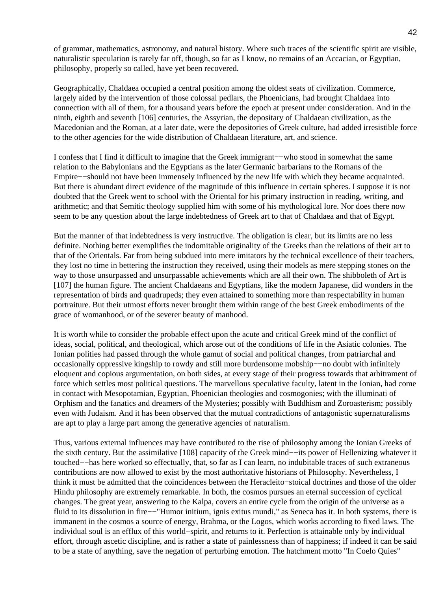of grammar, mathematics, astronomy, and natural history. Where such traces of the scientific spirit are visible, naturalistic speculation is rarely far off, though, so far as I know, no remains of an Accacian, or Egyptian, philosophy, properly so called, have yet been recovered.

Geographically, Chaldaea occupied a central position among the oldest seats of civilization. Commerce, largely aided by the intervention of those colossal pedlars, the Phoenicians, had brought Chaldaea into connection with all of them, for a thousand years before the epoch at present under consideration. And in the ninth, eighth and seventh [106] centuries, the Assyrian, the depositary of Chaldaean civilization, as the Macedonian and the Roman, at a later date, were the depositories of Greek culture, had added irresistible force to the other agencies for the wide distribution of Chaldaean literature, art, and science.

I confess that I find it difficult to imagine that the Greek immigrant−−who stood in somewhat the same relation to the Babylonians and the Egyptians as the later Germanic barbarians to the Romans of the Empire−−should not have been immensely influenced by the new life with which they became acquainted. But there is abundant direct evidence of the magnitude of this influence in certain spheres. I suppose it is not doubted that the Greek went to school with the Oriental for his primary instruction in reading, writing, and arithmetic; and that Semitic theology supplied him with some of his mythological lore. Nor does there now seem to be any question about the large indebtedness of Greek art to that of Chaldaea and that of Egypt.

But the manner of that indebtedness is very instructive. The obligation is clear, but its limits are no less definite. Nothing better exemplifies the indomitable originality of the Greeks than the relations of their art to that of the Orientals. Far from being subdued into mere imitators by the technical excellence of their teachers, they lost no time in bettering the instruction they received, using their models as mere stepping stones on the way to those unsurpassed and unsurpassable achievements which are all their own. The shibboleth of Art is [107] the human figure. The ancient Chaldaeans and Egyptians, like the modern Japanese, did wonders in the representation of birds and quadrupeds; they even attained to something more than respectability in human portraiture. But their utmost efforts never brought them within range of the best Greek embodiments of the grace of womanhood, or of the severer beauty of manhood.

It is worth while to consider the probable effect upon the acute and critical Greek mind of the conflict of ideas, social, political, and theological, which arose out of the conditions of life in the Asiatic colonies. The Ionian polities had passed through the whole gamut of social and political changes, from patriarchal and occasionally oppressive kingship to rowdy and still more burdensome mobship−−no doubt with infinitely eloquent and copious argumentation, on both sides, at every stage of their progress towards that arbitrament of force which settles most political questions. The marvellous speculative faculty, latent in the Ionian, had come in contact with Mesopotamian, Egyptian, Phoenician theologies and cosmogonies; with the illuminati of Orphism and the fanatics and dreamers of the Mysteries; possibly with Buddhism and Zoroasterism; possibly even with Judaism. And it has been observed that the mutual contradictions of antagonistic supernaturalisms are apt to play a large part among the generative agencies of naturalism.

Thus, various external influences may have contributed to the rise of philosophy among the Ionian Greeks of the sixth century. But the assimilative [108] capacity of the Greek mind−−its power of Hellenizing whatever it touched−−has here worked so effectually, that, so far as I can learn, no indubitable traces of such extraneous contributions are now allowed to exist by the most authoritative historians of Philosophy. Nevertheless, I think it must be admitted that the coincidences between the Heracleito−stoical doctrines and those of the older Hindu philosophy are extremely remarkable. In both, the cosmos pursues an eternal succession of cyclical changes. The great year, answering to the Kalpa, covers an entire cycle from the origin of the universe as a fluid to its dissolution in fire−−"Humor initium, ignis exitus mundi," as Seneca has it. In both systems, there is immanent in the cosmos a source of energy, Brahma, or the Logos, which works according to fixed laws. The individual soul is an efflux of this world−spirit, and returns to it. Perfection is attainable only by individual effort, through ascetic discipline, and is rather a state of painlessness than of happiness; if indeed it can be said to be a state of anything, save the negation of perturbing emotion. The hatchment motto "In Coelo Quies"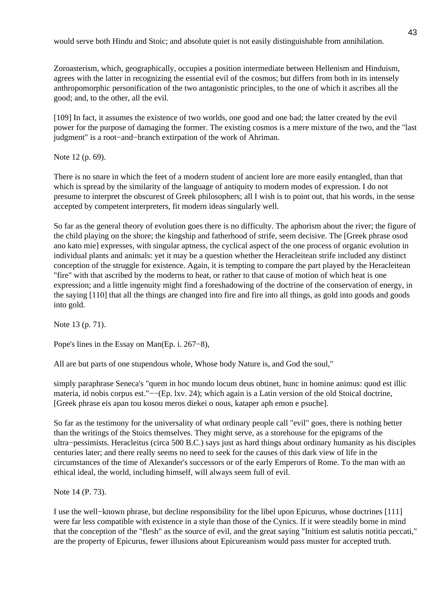would serve both Hindu and Stoic; and absolute quiet is not easily distinguishable from annihilation.

Zoroasterism, which, geographically, occupies a position intermediate between Hellenism and Hinduism, agrees with the latter in recognizing the essential evil of the cosmos; but differs from both in its intensely anthropomorphic personification of the two antagonistic principles, to the one of which it ascribes all the good; and, to the other, all the evil.

[109] In fact, it assumes the existence of two worlds, one good and one bad; the latter created by the evil power for the purpose of damaging the former. The existing cosmos is a mere mixture of the two, and the "last judgment" is a root−and−branch extirpation of the work of Ahriman.

Note 12 (p. 69).

There is no snare in which the feet of a modern student of ancient lore are more easily entangled, than that which is spread by the similarity of the language of antiquity to modern modes of expression. I do not presume to interpret the obscurest of Greek philosophers; all I wish is to point out, that his words, in the sense accepted by competent interpreters, fit modern ideas singularly well.

So far as the general theory of evolution goes there is no difficulty. The aphorism about the river; the figure of the child playing on the shore; the kingship and fatherhood of strife, seem decisive. The [Greek phrase osod ano kato mie] expresses, with singular aptness, the cyclical aspect of the one process of organic evolution in individual plants and animals: yet it may be a question whether the Heracleitean strife included any distinct conception of the struggle for existence. Again, it is tempting to compare the part played by the Heracleitean "fire" with that ascribed by the moderns to heat, or rather to that cause of motion of which heat is one expression; and a little ingenuity might find a foreshadowing of the doctrine of the conservation of energy, in the saying [110] that all the things are changed into fire and fire into all things, as gold into goods and goods into gold.

Note 13 (p. 71).

Pope's lines in the Essay on Man(Ep. i. 267−8),

All are but parts of one stupendous whole, Whose body Nature is, and God the soul,"

simply paraphrase Seneca's "quem in hoc mundo locum deus obtinet, hunc in homine animus: quod est illic materia, id nobis corpus est."−−(Ep. lxv. 24); which again is a Latin version of the old Stoical doctrine, [Greek phrase eis apan tou kosou meros diekei o nous, kataper aph emon e psuche].

So far as the testimony for the universality of what ordinary people call "evil" goes, there is nothing better than the writings of the Stoics themselves. They might serve, as a storehouse for the epigrams of the ultra−pessimists. Heracleitus (circa 500 B.C.) says just as hard things about ordinary humanity as his disciples centuries later; and there really seems no need to seek for the causes of this dark view of life in the circumstances of the time of Alexander's successors or of the early Emperors of Rome. To the man with an ethical ideal, the world, including himself, will always seem full of evil.

Note 14 (P. 73).

I use the well−known phrase, but decline responsibility for the libel upon Epicurus, whose doctrines [111] were far less compatible with existence in a style than those of the Cynics. If it were steadily borne in mind that the conception of the "flesh" as the source of evil, and the great saying "Initium est salutis notitia peccati," are the property of Epicurus, fewer illusions about Epicureanism would pass muster for accepted truth.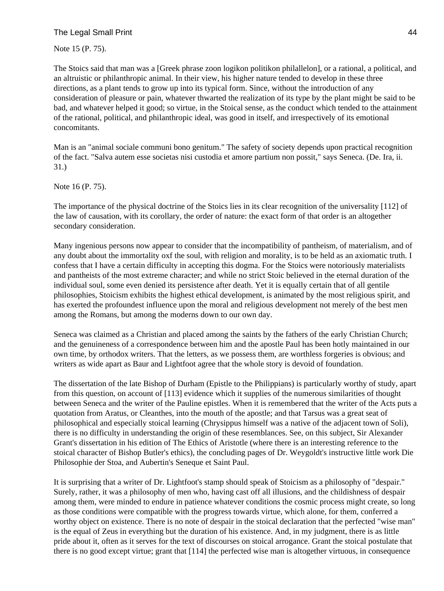# The Legal Small Print 44

Note 15 (P. 75).

The Stoics said that man was a [Greek phrase zoon logikon politikon philallelon], or a rational, a political, and an altruistic or philanthropic animal. In their view, his higher nature tended to develop in these three directions, as a plant tends to grow up into its typical form. Since, without the introduction of any consideration of pleasure or pain, whatever thwarted the realization of its type by the plant might be said to be bad, and whatever helped it good; so virtue, in the Stoical sense, as the conduct which tended to the attainment of the rational, political, and philanthropic ideal, was good in itself, and irrespectively of its emotional concomitants.

Man is an "animal sociale communi bono genitum." The safety of society depends upon practical recognition of the fact. "Salva autem esse societas nisi custodia et amore partium non possit," says Seneca. (De. Ira, ii. 31.)

Note 16 (P. 75).

The importance of the physical doctrine of the Stoics lies in its clear recognition of the universality [112] of the law of causation, with its corollary, the order of nature: the exact form of that order is an altogether secondary consideration.

Many ingenious persons now appear to consider that the incompatibility of pantheism, of materialism, and of any doubt about the immortality oxf the soul, with religion and morality, is to be held as an axiomatic truth. I confess that I have a certain difficulty in accepting this dogma. For the Stoics were notoriously materialists and pantheists of the most extreme character; and while no strict Stoic believed in the eternal duration of the individual soul, some even denied its persistence after death. Yet it is equally certain that of all gentile philosophies, Stoicism exhibits the highest ethical development, is animated by the most religious spirit, and has exerted the profoundest influence upon the moral and religious development not merely of the best men among the Romans, but among the moderns down to our own day.

Seneca was claimed as a Christian and placed among the saints by the fathers of the early Christian Church; and the genuineness of a correspondence between him and the apostle Paul has been hotly maintained in our own time, by orthodox writers. That the letters, as we possess them, are worthless forgeries is obvious; and writers as wide apart as Baur and Lightfoot agree that the whole story is devoid of foundation.

The dissertation of the late Bishop of Durham (Epistle to the Philippians) is particularly worthy of study, apart from this question, on account of [113] evidence which it supplies of the numerous similarities of thought between Seneca and the writer of the Pauline epistles. When it is remembered that the writer of the Acts puts a quotation from Aratus, or Cleanthes, into the mouth of the apostle; and that Tarsus was a great seat of philosophical and especially stoical learning (Chrysippus himself was a native of the adjacent town of Soli), there is no difficulty in understanding the origin of these resemblances. See, on this subject, Sir Alexander Grant's dissertation in his edition of The Ethics of Aristotle (where there is an interesting reference to the stoical character of Bishop Butler's ethics), the concluding pages of Dr. Weygoldt's instructive little work Die Philosophie der Stoa, and Aubertin's Seneque et Saint Paul.

It is surprising that a writer of Dr. Lightfoot's stamp should speak of Stoicism as a philosophy of "despair." Surely, rather, it was a philosophy of men who, having cast off all illusions, and the childishness of despair among them, were minded to endure in patience whatever conditions the cosmic process might create, so long as those conditions were compatible with the progress towards virtue, which alone, for them, conferred a worthy object on existence. There is no note of despair in the stoical declaration that the perfected "wise man" is the equal of Zeus in everything but the duration of his existence. And, in my judgment, there is as little pride about it, often as it serves for the text of discourses on stoical arrogance. Grant the stoical postulate that there is no good except virtue; grant that [114] the perfected wise man is altogether virtuous, in consequence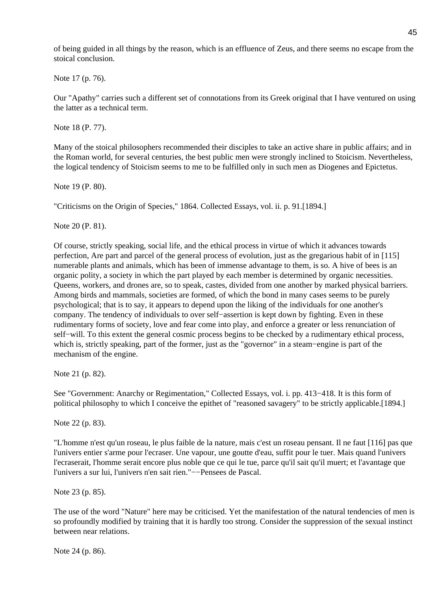of being guided in all things by the reason, which is an effluence of Zeus, and there seems no escape from the stoical conclusion.

Note 17 (p. 76).

Our "Apathy" carries such a different set of connotations from its Greek original that I have ventured on using the latter as a technical term.

Note 18 (P. 77).

Many of the stoical philosophers recommended their disciples to take an active share in public affairs; and in the Roman world, for several centuries, the best public men were strongly inclined to Stoicism. Nevertheless, the logical tendency of Stoicism seems to me to be fulfilled only in such men as Diogenes and Epictetus.

Note 19 (P. 80).

"Criticisms on the Origin of Species," 1864. Collected Essays, vol. ii. p. 91.[1894.]

Note 20 (P. 81).

Of course, strictly speaking, social life, and the ethical process in virtue of which it advances towards perfection, Are part and parcel of the general process of evolution, just as the gregarious habit of in [115] numerable plants and animals, which has been of immense advantage to them, is so. A hive of bees is an organic polity, a society in which the part played by each member is determined by organic necessities. Queens, workers, and drones are, so to speak, castes, divided from one another by marked physical barriers. Among birds and mammals, societies are formed, of which the bond in many cases seems to be purely psychological; that is to say, it appears to depend upon the liking of the individuals for one another's company. The tendency of individuals to over self−assertion is kept down by fighting. Even in these rudimentary forms of society, love and fear come into play, and enforce a greater or less renunciation of self–will. To this extent the general cosmic process begins to be checked by a rudimentary ethical process, which is, strictly speaking, part of the former, just as the "governor" in a steam−engine is part of the mechanism of the engine.

Note 21 (p. 82).

See "Government: Anarchy or Regimentation," Collected Essays, vol. i. pp. 413−418. It is this form of political philosophy to which I conceive the epithet of "reasoned savagery" to be strictly applicable.[1894.]

Note 22 (p. 83).

"L'homme n'est qu'un roseau, le plus faible de la nature, mais c'est un roseau pensant. Il ne faut [116] pas que l'univers entier s'arme pour l'ecraser. Une vapour, une goutte d'eau, suffit pour le tuer. Mais quand l'univers l'ecraserait, l'homme serait encore plus noble que ce qui le tue, parce qu'il sait qu'il muert; et l'avantage que l'univers a sur lui, l'univers n'en sait rien."−−Pensees de Pascal.

Note 23 (p. 85).

The use of the word "Nature" here may be criticised. Yet the manifestation of the natural tendencies of men is so profoundly modified by training that it is hardly too strong. Consider the suppression of the sexual instinct between near relations.

Note 24 (p. 86).